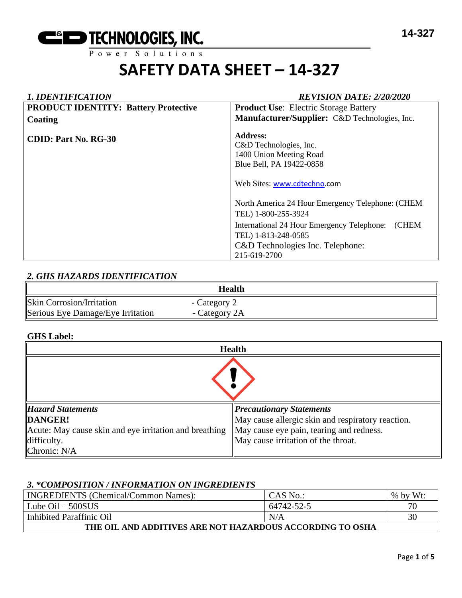

### *1. IDENTIFICATION REVISION DATE: 2/20/2020*

| <b>PRODUCT IDENTITY: Battery Protective</b> | <b>Product Use:</b> Electric Storage Battery                                                                                                                                                              |  |  |
|---------------------------------------------|-----------------------------------------------------------------------------------------------------------------------------------------------------------------------------------------------------------|--|--|
| Coating                                     | Manufacturer/Supplier: C&D Technologies, Inc.                                                                                                                                                             |  |  |
| <b>CDID: Part No. RG-30</b>                 | <b>Address:</b><br>C&D Technologies, Inc.<br>1400 Union Meeting Road<br>Blue Bell, PA 19422-0858                                                                                                          |  |  |
|                                             | Web Sites: www.cdtechno.com                                                                                                                                                                               |  |  |
|                                             | North America 24 Hour Emergency Telephone: (CHEM<br>TEL) 1-800-255-3924<br>(CHEM<br>International 24 Hour Emergency Telephone:<br>TEL) 1-813-248-0585<br>C&D Technologies Inc. Telephone:<br>215-619-2700 |  |  |

### *2. GHS HAZARDS IDENTIFICATION*

|                                   | Health        |  |
|-----------------------------------|---------------|--|
| <b>Skin Corrosion/Irritation</b>  | - Category 2  |  |
| Serious Eye Damage/Eye Irritation | - Category 2A |  |

#### **GHS Label:**

| <b>Health</b>                                          |                                                   |  |  |
|--------------------------------------------------------|---------------------------------------------------|--|--|
|                                                        |                                                   |  |  |
| <b>Hazard Statements</b>                               | <b>Precautionary Statements</b>                   |  |  |
| DANGER!                                                | May cause allergic skin and respiratory reaction. |  |  |
| Acute: May cause skin and eye irritation and breathing | May cause eye pain, tearing and redness.          |  |  |
| difficulty.                                            | May cause irritation of the throat.               |  |  |
| Chronic: N/A                                           |                                                   |  |  |

#### *3. \*COMPOSITION / INFORMATION ON INGREDIENTS*

| <b>INGREDIENTS</b> (Chemical/Common Names):               | CAS No.:   | Wt:<br>$%$ by |  |  |
|-----------------------------------------------------------|------------|---------------|--|--|
| Lube $\text{Oil} - 500\text{SUS}$                         | 64742-52-5 | 70            |  |  |
| Inhibited Paraffinic Oil                                  | N/A        | 30            |  |  |
| THE OIL AND ADDITIVES ARE NOT HAZARDOUS ACCORDING TO OSHA |            |               |  |  |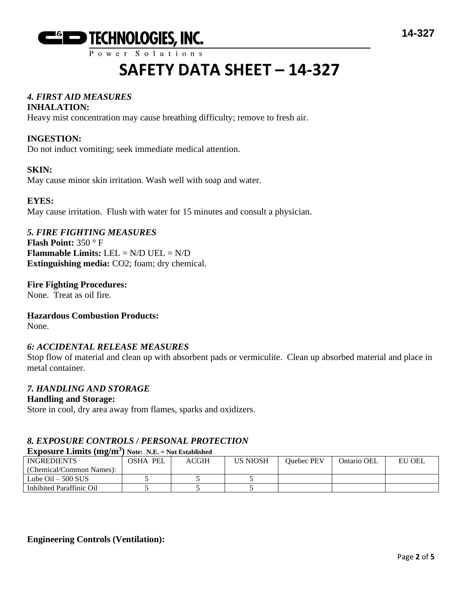

### *4. FIRST AID MEASURES*

#### **INHALATION:**

Heavy mist concentration may cause breathing difficulty; remove to fresh air.

### **INGESTION:**

Do not induct vomiting; seek immediate medical attention.

#### **SKIN:**

May cause minor skin irritation. Wash well with soap and water.

#### **EYES:**

May cause irritation. Flush with water for 15 minutes and consult a physician.

#### *5. FIRE FIGHTING MEASURES*

**Flash Point:** 350 ° F **Flammable Limits:** LEL = N/D UEL = N/D **Extinguishing media:** CO2; foam; dry chemical.

#### **Fire Fighting Procedures:** None. Treat as oil fire.

#### **Hazardous Combustion Products:**

None.

#### *6: ACCIDENTAL RELEASE MEASURES*

Stop flow of material and clean up with absorbent pads or vermiculite. Clean up absorbed material and place in metal container.

#### *7. HANDLING AND STORAGE*

#### **Handling and Storage:**

Store in cool, dry area away from flames, sparks and oxidizers.

#### *8. EXPOSURE CONTROLS / PERSONAL PROTECTION*

#### **Exposure Limits (mg/m<sup>3</sup> ) Note: N.E. = Not Established**

| <b>INGREDIENTS</b>          | OSHA PEL | <b>ACGIH</b> | US NIOSH | Ouebec PEV | Ontario OEL | EU OEL |
|-----------------------------|----------|--------------|----------|------------|-------------|--------|
| (Chemical/Common Names):    |          |              |          |            |             |        |
| Lube $\text{Oil} - 500$ SUS |          |              |          |            |             |        |
| Inhibited Paraffinic Oil    |          |              |          |            |             |        |
|                             |          |              |          |            |             |        |

#### **Engineering Controls (Ventilation):**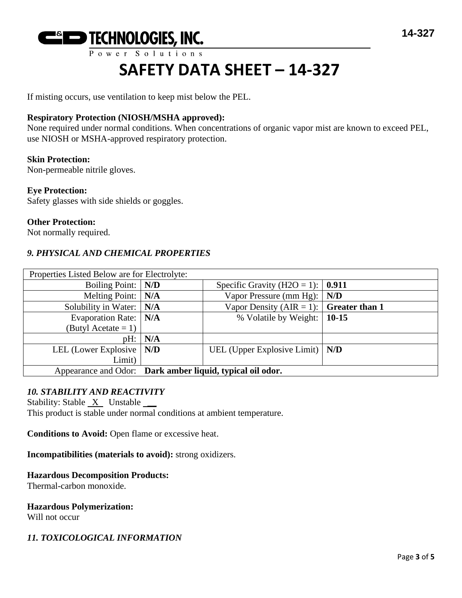

If misting occurs, use ventilation to keep mist below the PEL.

#### **Respiratory Protection (NIOSH/MSHA approved):**

None required under normal conditions. When concentrations of organic vapor mist are known to exceed PEL, use NIOSH or MSHA-approved respiratory protection.

#### **Skin Protection:**

Non-permeable nitrile gloves.

#### **Eye Protection:**

Safety glasses with side shields or goggles.

#### **Other Protection:**

Not normally required.

#### *9. PHYSICAL AND CHEMICAL PROPERTIES*

| Properties Listed Below are for Electrolyte: |                                                           |                                                |     |
|----------------------------------------------|-----------------------------------------------------------|------------------------------------------------|-----|
| Boiling Point:   N/D                         |                                                           | Specific Gravity (H2O = 1): $\vert$ 0.911      |     |
| Melting Point:   N/A                         |                                                           | Vapor Pressure (mm Hg):                        | N/D |
| Solubility in Water: $\vert$ N/A             |                                                           | Vapor Density (AIR = 1): $\int$ Greater than 1 |     |
| Evaporation Rate:   N/A                      |                                                           | % Volatile by Weight: 10-15                    |     |
| (Butyl Acetate = 1)                          |                                                           |                                                |     |
| pH:                                          | N/A                                                       |                                                |     |
| LEL (Lower Explosive   N/D                   |                                                           | UEL (Upper Explosive Limit) $\vert N/D \vert$  |     |
| Limit)                                       |                                                           |                                                |     |
|                                              | Appearance and Odor: Dark amber liquid, typical oil odor. |                                                |     |

#### *10. STABILITY AND REACTIVITY*

Stability: Stable  $X$  Unstable  $\_\_\_\$ This product is stable under normal conditions at ambient temperature.

**Conditions to Avoid:** Open flame or excessive heat.

**Incompatibilities (materials to avoid):** strong oxidizers.

#### **Hazardous Decomposition Products:**

Thermal-carbon monoxide.

#### **Hazardous Polymerization:**

Will not occur

#### *11. TOXICOLOGICAL INFORMATION*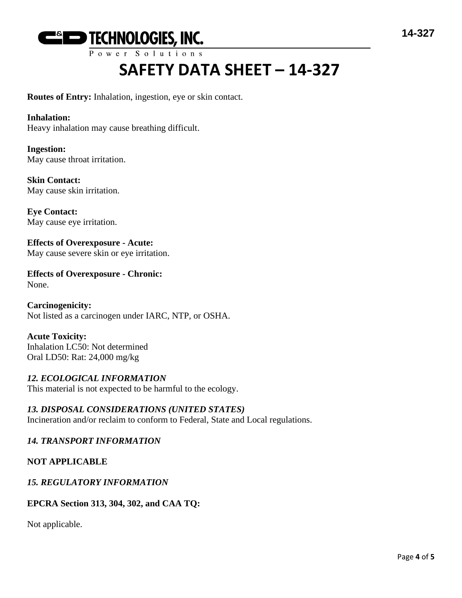

**Routes of Entry:** Inhalation, ingestion, eye or skin contact.

#### **Inhalation:**

Heavy inhalation may cause breathing difficult.

**Ingestion:** May cause throat irritation.

**Skin Contact:** May cause skin irritation.

**Eye Contact:** May cause eye irritation.

**Effects of Overexposure - Acute:** May cause severe skin or eye irritation.

**Effects of Overexposure - Chronic:** None.

**Carcinogenicity:** Not listed as a carcinogen under IARC, NTP, or OSHA.

**Acute Toxicity:** Inhalation LC50: Not determined Oral LD50: Rat: 24,000 mg/kg

### *12. ECOLOGICAL INFORMATION*

This material is not expected to be harmful to the ecology.

*13. DISPOSAL CONSIDERATIONS (UNITED STATES)* Incineration and/or reclaim to conform to Federal, State and Local regulations.

#### *14. TRANSPORT INFORMATION*

#### **NOT APPLICABLE**

#### *15. REGULATORY INFORMATION*

#### **EPCRA Section 313, 304, 302, and CAA TQ:**

Not applicable.